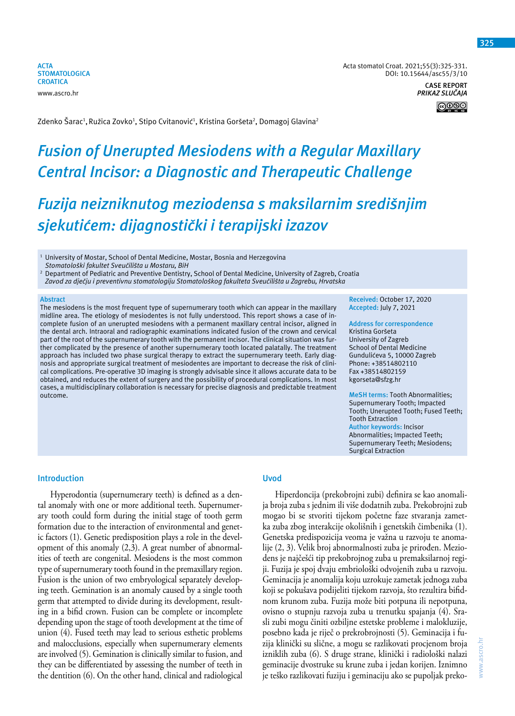**ACTA STOMATOLOGICA CROATICA** www.ascro.hr

Acta stomatol Croat. 2021;55(3):325-331. DOI: 10.15644/asc55/3/10 **CASE REPORT** *PRIKAZ SLUČAJA* **@** 

Zdenko Šarac<sup>1</sup>, Ružica Zovko<sup>1</sup>, Stipo Cvitanović<sup>1</sup>, Kristina Goršeta<sup>2</sup>, Domagoj Glavina<sup>2</sup>

# *Fusion of Unerupted Mesiodens with a Regular Maxillary Central Incisor: a Diagnostic and Therapeutic Challenge*

# *Fuzija neizniknutog meziodensa s maksilarnim središnjim sjekutićem: dijagnostički i terapijski izazov*

<sup>1</sup> University of Mostar, School of Dental Medicine, Mostar, Bosnia and Herzegovina *Stomatološki fakultet Sveučilišta u Mostaru, BiH*

<sup>2</sup> Department of Pediatric and Preventive Dentistry, School of Dental Medicine, University of Zagreb, Croatia *Zavod za dječju i preventivnu stomatologiju Stomatološkog fakulteta Sveučilišta u Zagrebu, Hrvatska*

#### **Abstract**

The mesiodens is the most frequent type of supernumerary tooth which can appear in the maxillary midline area. The etiology of mesiodentes is not fully understood. This report shows a case of incomplete fusion of an unerupted mesiodens with a permanent maxillary central incisor, aligned in the dental arch. Intraoral and radiographic examinations indicated fusion of the crown and cervical part of the root of the supernumerary tooth with the permanent incisor. The clinical situation was further complicated by the presence of another supernumerary tooth located palatally. The treatment approach has included two phase surgical therapy to extract the supernumerary teeth. Early diagnosis and appropriate surgical treatment of mesiodentes are important to decrease the risk of clinical complications. Pre-operative 3D imaging is strongly advisable since it allows accurate data to be obtained, and reduces the extent of surgery and the possibility of procedural complications. In most cases, a multidisciplinary collaboration is necessary for precise diagnosis and predictable treatment outcome.

**Received:** October 17, 2020 **Accepted:** July 7, 2021

**Address for correspondence** Kristina Goršeta University of Zagreb School of Dental Medicine Gundulićeva 5, 10000 Zagreb Phone: +38514802110 Fax +38514802159 kgorseta@sfzg.hr

**MeSH terms:** Tooth Abnormalities; Supernumerary Tooth; Impacted Tooth; Unerupted Tooth; Fused Teeth; Tooth Extraction **Author keywords:** Incisor Abnormalities; Impacted Teeth; Supernumerary Teeth; Mesiodens; Surgical Extraction

www.ascro.hr

www.ascro.hr

## **Introduction**

Hyperodontia (supernumerary teeth) is defined as a dental anomaly with one or more additional teeth. Supernumerary tooth could form during the initial stage of tooth germ formation due to the interaction of environmental and genetic factors (1). Genetic predisposition plays a role in the development of this anomaly (2,3). A great number of abnormalities of teeth are congenital. Mesiodens is the most common type of supernumerary tooth found in the premaxillary region. Fusion is the union of two embryological separately developing teeth. Gemination is an anomaly caused by a single tooth germ that attempted to divide during its development, resulting in a bifid crown. Fusion can be complete or incomplete depending upon the stage of tooth development at the time of union (4). Fused teeth may lead to serious esthetic problems and malocclusions, especially when supernumerary elements are involved (5). Gemination is clinically similar to fusion, and they can be differentiated by assessing the number of teeth in the dentition (6). On the other hand, clinical and radiological

### **Uvod**

Hiperdoncija (prekobrojni zubi) definira se kao anomalija broja zuba s jednim ili više dodatnih zuba. Prekobrojni zub mogao bi se stvoriti tijekom početne faze stvaranja zametka zuba zbog interakcije okolišnih i genetskih čimbenika (1). Genetska predispozicija veoma je važna u razvoju te anomalije (2, 3). Velik broj abnormalnosti zuba je prirođen. Meziodens je najčešći tip prekobrojnog zuba u premaksilarnoj regiji. Fuzija je spoj dvaju embriološki odvojenih zuba u razvoju. Geminacija je anomalija koju uzrokuje zametak jednoga zuba koji se pokušava podijeliti tijekom razvoja, što rezultira bifidnom krunom zuba. Fuzija može biti potpuna ili nepotpuna, ovisno o stupnju razvoja zuba u trenutku spajanja (4). Srasli zubi mogu činiti ozbiljne estetske probleme i malokluzije, posebno kada je riječ o prekrobrojnosti (5). Geminacija i fuzija klinički su slične, a mogu se razlikovati procjenom broja izniklih zuba (6). S druge strane, klinički i radiološki nalazi geminacije dvostruke su krune zuba i jedan korijen. Iznimno je teško razlikovati fuziju i geminaciju ako se pupoljak preko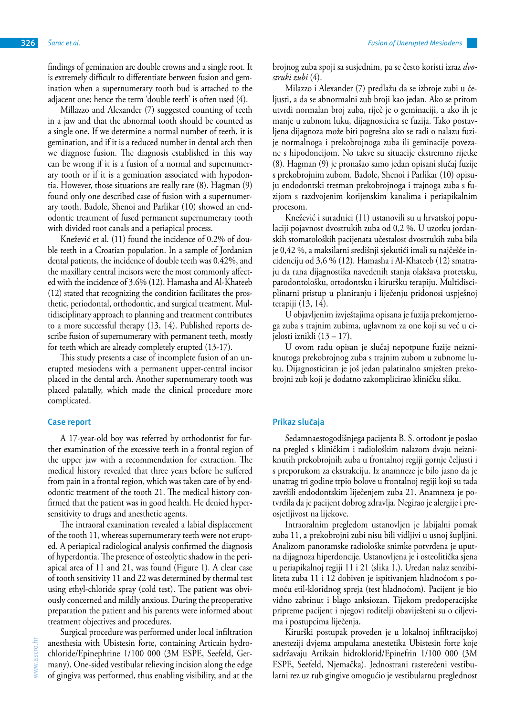findings of gemination are double crowns and a single root. It is extremely difficult to differentiate between fusion and gemination when a supernumerary tooth bud is attached to the adjacent one; hence the term 'double teeth' is often used (4).

Millazzo and Alexander (7) suggested counting of teeth in a jaw and that the abnormal tooth should be counted as a single one. If we determine a normal number of teeth, it is gemination, and if it is a reduced number in dental arch then we diagnose fusion. The diagnosis established in this way can be wrong if it is a fusion of a normal and supernumerary tooth or if it is a gemination associated with hypodontia. However, those situations are really rare (8). Hagman (9) found only one described case of fusion with a supernumerary tooth. Badole, Shenoi and Parlikar (10) showed an endodontic treatment of fused permanent supernumerary tooth with divided root canals and a periapical process.

Knežević et al. (11) found the incidence of 0.2% of double teeth in a Croatian population. In a sample of Jordanian dental patients, the incidence of double teeth was 0.42%, and the maxillary central incisors were the most commonly affected with the incidence of 3.6% (12). Hamasha and Al-Khateeb (12) stated that recognizing the condition facilitates the prosthetic, periodontal, orthodontic, and surgical treatment. Multidisciplinary approach to planning and treatment contributes to a more successful therapy (13, 14). Published reports describe fusion of supernumerary with permanent teeth, mostly for teeth which are already completely erupted (13-17).

This study presents a case of incomplete fusion of an unerupted mesiodens with a permanent upper-central incisor placed in the dental arch. Another supernumerary tooth was placed palatally, which made the clinical procedure more complicated.

#### **Case report**

A 17-year-old boy was referred by orthodontist for further examination of the excessive teeth in a frontal region of the upper jaw with a recommendation for extraction. The medical history revealed that three years before he suffered from pain in a frontal region, which was taken care of by endodontic treatment of the tooth 21. The medical history confirmed that the patient was in good health. He denied hypersensitivity to drugs and anesthetic agents.

The intraoral examination revealed a labial displacement of the tooth 11, whereas supernumerary teeth were not erupted. A periapical radiological analysis confirmed the diagnosis of hyperdontia. The presence of osteolytic shadow in the periapical area of 11 and 21, was found (Figure 1). A clear case of tooth sensitivity 11 and 22 was determined by thermal test using ethyl-chloride spray (cold test). The patient was obviously concerned and mildly anxious. During the preoperative preparation the patient and his parents were informed about treatment objectives and procedures.

Surgical procedure was performed under local infiltration anesthesia with Ubistesin forte, containing Articain hydrochloride/Epinephrine 1/100 000 (3M ESPE, Seefeld, Germany). One-sided vestibular relieving incision along the edge of gingiva was performed, thus enabling visibility, and at the

brojnog zuba spoji sa susjednim, pa se često koristi izraz *dvostruki zubi* (4).

Milazzo i Alexander (7) predlažu da se izbroje zubi u čeljusti, a da se abnormalni zub broji kao jedan. Ako se pritom utvrdi normalan broj zuba, riječ je o geminaciji, a ako ih je manje u zubnom luku, dijagnosticira se fuzija. Tako postavljena dijagnoza može biti pogrešna ako se radi o nalazu fuzije normalnoga i prekobrojnoga zuba ili geminacije povezane s hipodoncijom. No takve su situacije ekstremno rijetke (8). Hagman (9) je pronašao samo jedan opisani slučaj fuzije s prekobrojnim zubom. Badole, Shenoi i Parlikar (10) opisuju endodontski tretman prekobrojnoga i trajnoga zuba s fuzijom s razdvojenim korijenskim kanalima i periapikalnim procesom.

Knežević i suradnici (11) ustanovili su u hrvatskoj populaciji pojavnost dvostrukih zuba od 0,2 %. U uzorku jordanskih stomatoloških pacijenata učestalost dvostrukih zuba bila je 0,42 %, a maksilarni središnji sjekutići imali su najčešće incidenciju od 3,6 % (12). Hamasha i Al-Khateeb (12) smatraju da rana dijagnostika navedenih stanja olakšava protetsku, parodontološku, ortodontsku i kiruršku terapiju. Multidisciplinarni pristup u planiranju i liječenju pridonosi uspješnoj terapiji (13, 14).

U objavljenim izvještajima opisana je fuzija prekomjernoga zuba s trajnim zubima, uglavnom za one koji su već u cijelosti iznikli (13 – 17).

U ovom radu opisan je slučaj nepotpune fuzije neizniknutoga prekobrojnog zuba s trajnim zubom u zubnome luku. Dijagnosticiran je još jedan palatinalno smješten prekobrojni zub koji je dodatno zakomplicirao kliničku sliku.

#### **Prikaz slučaja**

Sedamnaestogodišnjega pacijenta B. S. ortodont je poslao na pregled s kliničkim i radiološkim nalazom dvaju neizniknutih prekobrojnih zuba u frontalnoj regiji gornje čeljusti i s preporukom za ekstrakciju. Iz anamneze je bilo jasno da je unatrag tri godine trpio bolove u frontalnoj regiji koji su tada završili endodontskim liječenjem zuba 21. Anamneza je potvrdila da je pacijent dobrog zdravlja. Negirao je alergije i preosjetljivost na lijekove.

Intraoralnim pregledom ustanovljen je labijalni pomak zuba 11, a prekobrojni zubi nisu bili vidljivi u usnoj šupljini. Analizom panoramske radiološke snimke potvrđena je uputna dijagnoza hiperdoncije. Ustanovljena je i osteolitička sjena u periapikalnoj regiji 11 i 21 (slika 1.). Uredan nalaz senzibiliteta zuba 11 i 12 dobiven je ispitivanjem hladnoćom s pomoću etil-kloridnog spreja (test hladnoćom). Pacijent je bio vidno zabrinut i blago anksiozan. Tijekom predoperacijske pripreme pacijent i njegovi roditelji obaviješteni su o ciljevima i postupcima liječenja.

Kirurški postupak proveden je u lokalnoj infiltracijskoj anesteziji dvjema ampulama anestetika Ubistesin forte koje sadržavaju Artikain hidroklorid/Epinefrin 1/100 000 (3M ESPE, Seefeld, Njemačka). Jednostrani rasterećeni vestibularni rez uz rub gingive omogućio je vestibularnu preglednost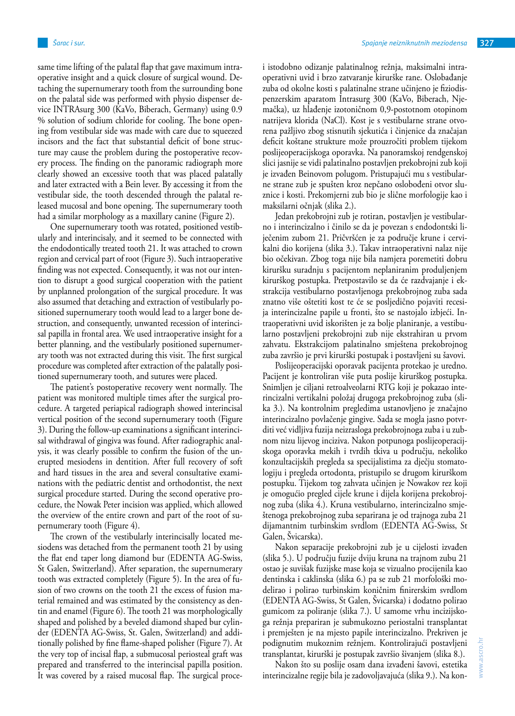same time lifting of the palatal flap that gave maximum intraoperative insight and a quick closure of surgical wound. Detaching the supernumerary tooth from the surrounding bone on the palatal side was performed with physio dispenser device INTRAsurg 300 (KaVo, Biberach, Germany) using 0.9 % solution of sodium chloride for cooling. The bone opening from vestibular side was made with care due to squeezed incisors and the fact that substantial deficit of bone structure may cause the problem during the postoperative recovery process. The finding on the panoramic radiograph more clearly showed an excessive tooth that was placed palatally and later extracted with a Bein lever. By accessing it from the vestibular side, the tooth descended through the palatal released mucosal and bone opening. The supernumerary tooth had a similar morphology as a maxillary canine (Figure 2).

One supernumerary tooth was rotated, positioned vestibularly and interincisaly, and it seemed to be connected with the endodontically treated tooth 21. It was attached to crown region and cervical part of root (Figure 3). Such intraoperative finding was not expected. Consequently, it was not our intention to disrupt a good surgical cooperation with the patient by unplanned prolongation of the surgical procedure. It was also assumed that detaching and extraction of vestibularly positioned supernumerary tooth would lead to a larger bone destruction, and consequently, unwanted recession of interincisal papilla in frontal area. We used intraoperative insight for a better planning, and the vestibularly positioned supernumerary tooth was not extracted during this visit. The first surgical procedure was completed after extraction of the palatally positioned supernumerary tooth, and sutures were placed.

The patient's postoperative recovery went normally. The patient was monitored multiple times after the surgical procedure. A targeted periapical radiograph showed interincisal vertical position of the second supernumerary tooth (Figure 3). During the follow-up examinations a significant interincisal withdrawal of gingiva was found. After radiographic analysis, it was clearly possible to confirm the fusion of the unerupted mesiodens in dentition. After full recovery of soft and hard tissues in the area and several consultative examinations with the pediatric dentist and orthodontist, the next surgical procedure started. During the second operative procedure, the Nowak Peter incision was applied, which allowed the overview of the entire crown and part of the root of supernumerary tooth (Figure 4).

The crown of the vestibularly interincisally located mesiodens was detached from the permanent tooth 21 by using the flat end taper long diamond bur (EDENTA AG-Swiss, St Galen, Switzerland). After separation, the supernumerary tooth was extracted completely (Figure 5). In the area of fusion of two crowns on the tooth 21 the excess of fusion material remained and was estimated by the consistency as dentin and enamel (Figure 6). The tooth 21 was morphologically shaped and polished by a beveled diamond shaped bur cylinder (EDENTA AG-Swiss, St. Galen, Switzerland) and additionally polished by fine flame-shaped polisher (Figure 7). At the very top of incisal flap, a submucosal periosteal graft was prepared and transferred to the interincisal papilla position. It was covered by a raised mucosal flap. The surgical procei istodobno odizanje palatinalnog režnja, maksimalni intraoperativni uvid i brzo zatvaranje kirurške rane. Oslobađanje zuba od okolne kosti s palatinalne strane učinjeno je fiziodispenzerskim aparatom Intrasurg 300 (KaVo, Biberach, Njemačka), uz hlađenje izotoničnom 0,9-postotnom otopinom natrijeva klorida (NaCl). Kost je s vestibularne strane otvorena pažljivo zbog stisnutih sjekutića i činjenice da značajan deficit koštane strukture može prouzročiti problem tijekom poslijeoperacijskoga oporavka. Na panoramskoj rendgenskoj slici jasnije se vidi palatinalno postavljen prekobrojni zub koji je izvađen Beinovom polugom. Pristupajući mu s vestibularne strane zub je spušten kroz nepčano oslobođeni otvor sluznice i kosti. Prekomjerni zub bio je slične morfologije kao i maksilarni očnjak (slika 2.).

Jedan prekobrojni zub je rotiran, postavljen je vestibularno i interincizalno i činilo se da je povezan s endodontski liječenim zubom 21. Pričvršćen je za područje krune i cervikalni dio korijena (slika 3.). Takav intraoperativni nalaz nije bio očekivan. Zbog toga nije bila namjera poremetiti dobru kiruršku suradnju s pacijentom neplaniranim produljenjem kirurškog postupka. Pretpostavilo se da će razdvajanje i ekstrakcija vestibularno postavljenoga prekobrojnog zuba sada znatno više oštetiti kost te će se posljedično pojaviti recesija interincizalne papile u fronti, što se nastojalo izbjeći. Intraoperativni uvid iskorišten je za bolje planiranje, a vestibularno postavljeni prekobrojni zub nije ekstrahiran u prvom zahvatu. Ekstrakcijom palatinalno smještena prekobrojnog zuba završio je prvi kirurški postupak i postavljeni su šavovi.

Poslijeoperacijski oporavak pacijenta protekao je uredno. Pacijent je kontroliran više puta poslije kirurškog postupka. Snimljen je ciljani retroalveolarni RTG koji je pokazao interincizalni vertikalni položaj drugoga prekobrojnog zuba (slika 3.). Na kontrolnim pregledima ustanovljeno je značajno interincizalno povlačenje gingive. Sada se mogla jasno potvrditi već vidljiva fuzija neizrasloga prekobrojnoga zuba i u zubnom nizu lijevog inciziva. Nakon potpunoga poslijeoperacijskoga oporavka mekih i tvrdih tkiva u području, nekoliko konzultacijskih pregleda sa specijalistima za dječju stomatologiju i pregleda ortodonta, pristupilo se drugom kirurškom postupku. Tijekom tog zahvata učinjen je Nowakov rez koji je omogućio pregled cijele krune i dijela korijena prekobrojnog zuba (slika 4.). Kruna vestibularno, interincizalno smještenoga prekobrojnog zuba separirana je od trajnoga zuba 21 dijamantnim turbinskim svrdlom (EDENTA AG-Swiss, St Galen, Švicarska).

Nakon separacije prekobrojni zub je u cijelosti izvađen (slika 5.). U području fuzije dviju kruna na trajnom zubu 21 ostao je suvišak fuzijske mase koja se vizualno procijenila kao dentinska i caklinska (slika 6.) pa se zub 21 morfološki modelirao i polirao turbinskim koničnim finirerskim svrdlom (EDENTA AG-Swiss, St Galen, Švicarska) i dodatno polirao gumicom za poliranje (slika 7.). U samome vrhu incizijskoga režnja prepariran je submukozno periostalni transplantat i premješten je na mjesto papile interincizalno. Prekriven je podignutim mukoznim režnjem. Kontrolirajući postavljeni transplantat, kirurški je postupak završio šivanjem (slika 8.).

Nakon što su poslije osam dana izvađeni šavovi, estetika interincizalne regije bila je zadovoljavajuća (slika 9.). Na kon-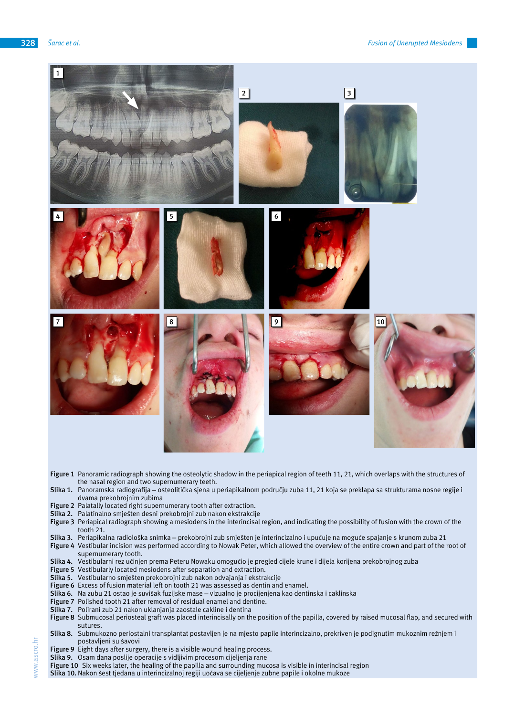

- Figure 1 Panoramic radiograph showing the osteolytic shadow in the periapical region of teeth 11, 21, which overlaps with the structures of the nasal region and two supernumerary teeth.
- **Slika 1.** Panoramska radiografija osteolitička sjena u periapikalnom području zuba 11, 21 koja se preklapa sa strukturama nosne regije i dvama prekobrojnim zubima
- Figure 2 Palatally located right supernumerary tooth after extraction.
- **Slika 2.** Palatinalno smješten desni prekobrojni zub nakon ekstrakcije
- **Figure 3** Periapical radiograph showing a mesiodens in the interincisal region, and indicating the possibility of fusion with the crown of the tooth 21.
- **Slika 3.** Periapikalna radiološka snimka prekobrojni zub smješten je interincizalno i upućuje na moguće spajanje s krunom zuba 21
- **Figure 4** Vestibular incision was performed according to Nowak Peter, which allowed the overview of the entire crown and part of the root of supernumerary tooth.
- **Slika 4.** Vestibularni rez učinjen prema Peteru Nowaku omogućio je pregled cijele krune i dijela korijena prekobrojnog zuba
- **Figure 5** Vestibularly located mesiodens after separation and extraction.
- **Slika 5.** Vestibularno smješten prekobrojni zub nakon odvajanja i ekstrakcije
- **Figure 6** Excess of fusion material left on tooth 21 was assessed as dentin and enamel.
- **Slika 6.** Na zubu 21 ostao je suvišak fuzijske mase vizualno je procijenjena kao dentinska i caklinska
- **Figure 7** Polished tooth 21 after removal of residual enamel and dentine.
- **Slika 7.** Polirani zub 21 nakon uklanjanja zaostale cakline i dentina
- **Figure 8** Submucosal periosteal graft was placed interincisally on the position of the papilla, covered by raised mucosal flap, and secured with sutures.
- **Slika 8.** Submukozno periostalni transplantat postavljen je na mjesto papile interincizalno, prekriven je podignutim mukoznim režnjem i postavljeni su šavovi
- **Figure 9** Eight days after surgery, there is a visible wound healing process.
- **Slika 9.** Osam dana poslije operacije s vidljivim procesom cijeljenja rane
- Figure 10 Six weeks later, the healing of the papilla and surrounding mucosa is visible in interincisal region
- **Slika 10.** Nakon šest tjedana u interincizalnoj regiji uočava se cijeljenje zubne papile i okolne mukoze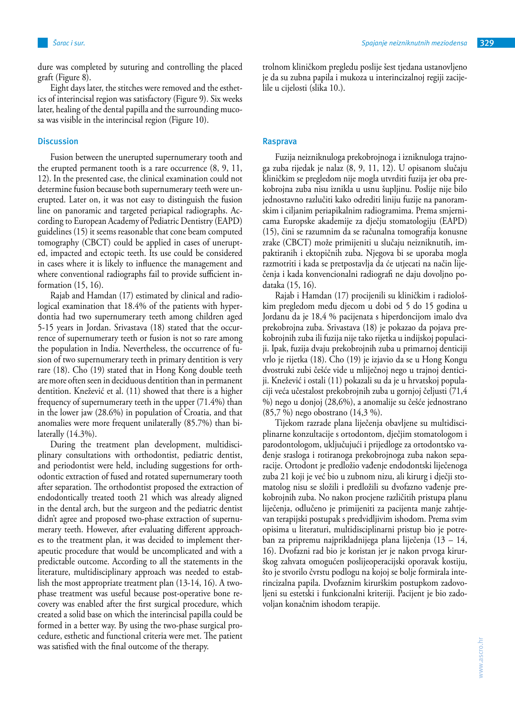dure was completed by suturing and controlling the placed graft (Figure 8).

Eight days later, the stitches were removed and the esthetics of interincisal region was satisfactory (Figure 9). Six weeks later, healing of the dental papilla and the surrounding mucosa was visible in the interincisal region (Figure 10).

#### **Discussion**

Fusion between the unerupted supernumerary tooth and the erupted permanent tooth is a rare occurrence (8, 9, 11, 12). In the presented case, the clinical examination could not determine fusion because both supernumerary teeth were unerupted. Later on, it was not easy to distinguish the fusion line on panoramic and targeted periapical radiographs. According to European Academy of Pediatric Dentistry (EAPD) guidelines (15) it seems reasonable that cone beam computed tomography (CBCT) could be applied in cases of unerupted, impacted and ectopic teeth. Its use could be considered in cases where it is likely to influence the management and where conventional radiographs fail to provide sufficient information (15, 16).

Rajab and Hamdan (17) estimated by clinical and radiological examination that 18.4% of the patients with hyperdontia had two supernumerary teeth among children aged 5-15 years in Jordan. Srivastava (18) stated that the occurrence of supernumerary teeth or fusion is not so rare among the population in India. Nevertheless, the occurrence of fusion of two supernumerary teeth in primary dentition is very rare (18). Cho (19) stated that in Hong Kong double teeth are more often seen in deciduous dentition than in permanent dentition. Knežević et al. (11) showed that there is a higher frequency of supernumerary teeth in the upper (71.4%) than in the lower jaw (28.6%) in population of Croatia, and that anomalies were more frequent unilaterally (85.7%) than bilaterally (14.3%).

During the treatment plan development, multidisciplinary consultations with orthodontist, pediatric dentist, and periodontist were held, including suggestions for orthodontic extraction of fused and rotated supernumerary tooth after separation. The orthodontist proposed the extraction of endodontically treated tooth 21 which was already aligned in the dental arch, but the surgeon and the pediatric dentist didn't agree and proposed two-phase extraction of supernumerary teeth. However, after evaluating different approaches to the treatment plan, it was decided to implement therapeutic procedure that would be uncomplicated and with a predictable outcome. According to all the statements in the literature, multidisciplinary approach was needed to establish the most appropriate treatment plan (13-14, 16). A twophase treatment was useful because post-operative bone recovery was enabled after the first surgical procedure, which created a solid base on which the interincisal papilla could be formed in a better way. By using the two-phase surgical procedure, esthetic and functional criteria were met. The patient was satisfied with the final outcome of the therapy.

trolnom kliničkom pregledu poslije šest tjedana ustanovljeno je da su zubna papila i mukoza u interincizalnoj regiji zacijelile u cijelosti (slika 10.).

#### **Rasprava**

Fuzija neizniknuloga prekobrojnoga i izniknuloga trajnoga zuba rijedak je nalaz (8, 9, 11, 12). U opisanom slučaju kliničkim se pregledom nije mogla utvrditi fuzija jer oba prekobrojna zuba nisu iznikla u usnu šupljinu. Poslije nije bilo jednostavno razlučiti kako odrediti liniju fuzije na panoramskim i ciljanim periapikalnim radiogramima. Prema smjernicama Europske akademije za dječju stomatologiju (EAPD) (15), čini se razumnim da se računalna tomografija konusne zrake (CBCT) može primijeniti u slučaju neizniknutih, impaktiranih i ektopičnih zuba. Njegova bi se uporaba mogla razmotriti i kada se pretpostavlja da će utjecati na način liječenja i kada konvencionalni radiografi ne daju dovoljno podataka (15, 16).

Rajab i Hamdan (17) procijenili su kliničkim i radiološkim pregledom među djecom u dobi od 5 do 15 godina u Jordanu da je 18,4 % pacijenata s hiperdoncijom imalo dva prekobrojna zuba. Srivastava (18) je pokazao da pojava prekobrojnih zuba ili fuzija nije tako rijetka u indijskoj populaciji. Ipak, fuzija dvaju prekobrojnih zuba u primarnoj denticiji vrlo je rijetka (18). Cho (19) je izjavio da se u Hong Kongu dvostruki zubi češće vide u mliječnoj nego u trajnoj denticiji. Knežević i ostali (11) pokazali su da je u hrvatskoj populaciji veća učestalost prekobrojnih zuba u gornjoj čeljusti (71,4 %) nego u donjoj (28,6%), a anomalije su češće jednostrano (85,7 %) nego obostrano (14,3 %).

Tijekom razrade plana liječenja obavljene su multidisciplinarne konzultacije s ortodontom, dječjim stomatologom i parodontologom, uključujući i prijedloge za ortodontsko vađenje srasloga i rotiranoga prekobrojnoga zuba nakon separacije. Ortodont je predložio vađenje endodontski liječenoga zuba 21 koji je već bio u zubnom nizu, ali kirurg i dječji stomatolog nisu se složili i predložili su dvofazno vađenje prekobrojnih zuba. No nakon procjene različitih pristupa planu liječenja, odlučeno je primijeniti za pacijenta manje zahtjevan terapijski postupak s predvidljivim ishodom. Prema svim opisima u literaturi, multidisciplinarni pristup bio je potreban za pripremu najprikladnijega plana liječenja (13 – 14, 16). Dvofazni rad bio je koristan jer je nakon prvoga kirurškog zahvata omogućen poslijeoperacijski oporavak kostiju, što je stvorilo čvrstu podlogu na kojoj se bolje formirala interincizalna papila. Dvofaznim kirurškim postupkom zadovoljeni su estetski i funkcionalni kriteriji. Pacijent je bio zadovoljan konačnim ishodom terapije.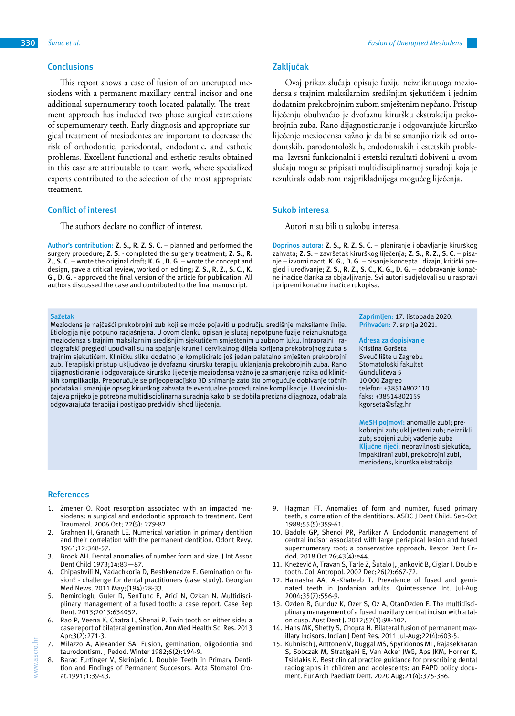#### **Conclusions**

This report shows a case of fusion of an unerupted mesiodens with a permanent maxillary central incisor and one additional supernumerary tooth located palatally. The treatment approach has included two phase surgical extractions of supernumerary teeth. Early diagnosis and appropriate surgical treatment of mesiodentes are important to decrease the risk of orthodontic, periodontal, endodontic, and esthetic problems. Excellent functional and esthetic results obtained in this case are attributable to team work, where specialized experts contributed to the selection of the most appropriate treatment.

### **Conflict of interest**

The authors declare no conflict of interest.

**Author's contribution: Z. S., R. Z. S. C.** – planned and performed the surgery procedure; **Z. S**. - completed the surgery treatment; **Z. S., R. Z., S. C.** – wrote the original draft; **K. G., D. G**. – wrote the concept and design, gave a critical review, worked on editing; **Z. S., R. Z., S. C., K. G., D. G**. - approved the final version of the article for publication. All authors discussed the case and contributed to the final manuscript.

#### **Sažetak**

Meziodens je najčešći prekobrojni zub koji se može pojaviti u području središnje maksilarne linije. Etiologija nije potpuno razjašnjena. U ovom članku opisan je slučaj nepotpune fuzije neiznuknutoga meziodensa s trajnim maksilarnim središnjim sjekutićem smještenim u zubnom luku. Intraoralni i radiografski pregledi upućivali su na spajanje krune i cervikalnog dijela korijena prekobrojnog zuba s trajnim sjekutićem. Kliničku sliku dodatno je kompliciralo još jedan palatalno smješten prekobrojni zub. Terapijski pristup uključivao je dvofaznu kiruršku terapiju uklanjanja prekobrojnih zuba. Rano dijagnosticiranje i odgovarajuće kirurško liječenje meziodensa važno je za smanjenje rizika od kliničkih komplikacija. Preporučuje se prijeoperacijsko 3D snimanje zato što omogućuje dobivanje točnih podataka i smanjuje opseg kirurškog zahvata te eventualne proceduralne komplikacije. U većini slučajeva prijeko je potrebna multidisciplinarna suradnja kako bi se dobila precizna dijagnoza, odabrala odgovarajuća terapija i postigao predvidiv ishod liječenja.

#### **Zaključak**

Ovaj prikaz slučaja opisuje fuziju neizniknutoga meziodensa s trajnim maksilarnim središnjim sjekutićem i jednim dodatnim prekobrojnim zubom smještenim nepčano. Pristup liječenju obuhvaćao je dvofaznu kiruršku ekstrakciju prekobrojnih zuba. Rano dijagnosticiranje i odgovarajuće kirurško liječenje meziodensa važno je da bi se smanjio rizik od ortodontskih, parodontoloških, endodontskih i estetskih problema. Izvrsni funkcionalni i estetski rezultati dobiveni u ovom slučaju mogu se pripisati multidisciplinarnoj suradnji koja je rezultirala odabirom najprikladnijega mogućeg liječenja.

### **Sukob interesa**

Autori nisu bili u sukobu interesa.

**Doprinos autora: Z. S., R. Z. S. C**. – planiranje i obavljanje kirurškog zahvata; **Z. S.** – završetak kirurškog liječenja; **Z. S., R. Z., S. C.** – pisanje – izvorni nacrt; **K. G., D. G**. – pisanje koncepta i dizajn, kritički pregled i uređivanje; **Z. S., R. Z., S. C., K. G., D. G.** – odobravanje konačne inačice članka za objavljivanje. Svi autori sudjelovali su u raspravi i pripremi konačne inačice rukopisa.

> **Zaprimljen:** 17. listopada 2020. **Prihvaćen:** 7. srpnja 2021.

**Adresa za dopisivanje** Kristina Goršeta Sveučilište u Zagrebu Stomatološki fakultet Gundulićeva 5 10 000 Zagreb telefon: +38514802110 faks: +38514802159

kgorseta@sfzg.hr

**MeSH pojmovi:** anomalije zubi; prekobrojni zub; ukliješteni zub; neiznikli zub; spojeni zubi; vađenje zuba **Ključne riječi:** nepravilnosti sjekutića, impaktirani zubi, prekobrojni zubi, meziodens, kirurška ekstrakcija

#### **References**

- 1. Zmener O. Root resorption associated with an impacted mesiodens: a surgical and endodontic approach to treatment. Dent Traumatol. 2006 Oct; 22(5): 279-82
- 2. Grahnen H, Granath LE. Numerical variation in primary dentition and their correlation with the permanent dentition. Odont Revy. 1961;12:348-57.
- 3. Brook AH. Dental anomalies of number form and size. J Int Assoc Dent Child 1973;14:83—87.
- Chipashvili N, Vadachkoria D, Beshkenadze E. Gemination or fusion? - challenge for dental practitioners (case study). Georgian Med News. 2011 May;(194):28-33.
- 5. Demircioglu Guler D, SenTunc E, Arici N, Ozkan N. Multidisciplinary management of a fused tooth: a case report. Case Rep Dent. 2013;2013:634052.
- Rao P, Veena K, Chatra L, Shenai P. Twin tooth on either side: a case report of bilateral gemination. Ann Med Health Sci Res. 2013 Apr;3(2):271-3.
- 7. Milazzo A, Alexander SA. Fusion, gemination, oligodontia and taurodontism. J Pedod. Winter 1982;6(2):194-9.
- 8. Barac Furtinger V, Skrinjaric I. Double Teeth in Primary Dentition and Findings of Permanent Succesors. Acta Stomatol Croat.1991;1:39-43.
- 9. Hagman FT. Anomalies of form and number, fused primary teeth, a correlation of the dentitions. ASDC J Dent Child. Sep-Oct 1988;55(5):359-61.
- 10. Badole GP, Shenoi PR, Parlikar A. Endodontic management of central incisor associated with large periapical lesion and fused supernumerary root: a conservative approach. Restor Dent Endod. 2018 Oct 26;43(4):e44.
- 11. Knežević A, Travan S, Tarle Z, Šutalo J, Janković B, Ciglar I. Double tooth. Coll Antropol. 2002 Dec;26(2):667-72.
- 12. Hamasha AA, Al-Khateeb T. Prevalence of fused and geminated teeth in Jordanian adults. Quintessence Int. Jul-Aug 2004;35(7):556-9.
- 13. Ozden B, Gunduz K, Ozer S, Oz A, OtanOzden F. The multidisciplinary management of a fused maxillary central incisor with a talon cusp. Aust Dent J. 2012;57(1):98-102.
- 14. Hans MK, Shetty S, Chopra H. Bilateral fusion of permanent maxillary incisors. Indian J Dent Res. 2011 Jul-Aug;22(4):603-5.
- 15. Kühnisch J, Anttonen V, Duggal MS, Spyridonos ML, Rajasekharan S, Sobczak M, Stratigaki E, Van Acker JWG, Aps JKM, Horner K, Tsiklakis K. Best clinical practice guidance for prescribing dental radiographs in children and adolescents: an EAPD policy document. Eur Arch Paediatr Dent. 2020 Aug;21(4):375-386.